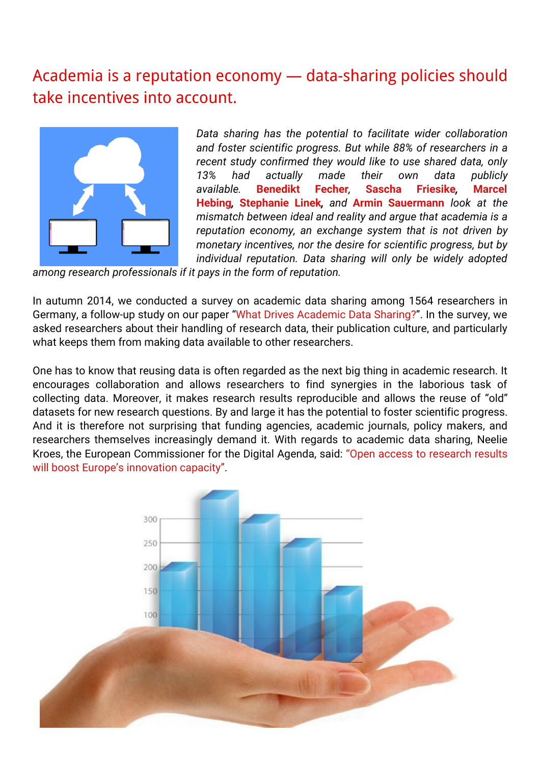## Academia is a reputation economy — [data-sharing](http://blogs.lse.ac.uk/impactofsocialsciences/2015/03/13/academia-is-a-reputation-economy/) policies should take incentives into account.



*Data sharing has the potential to facilitate wider collaboration and foster scientific progress. But while 88% of researchers in a recent study confirmed they would like to use shared data, only 13% had actually made their own data publicly available.* **Benedikt Fecher***,* **Sascha Friesike***,* **Marcel Hebing***,* **Stephanie Linek***, and* **Armin Sauermann** *look at the mismatch between ideal and reality and argue that academia is a reputation economy, an exchange system that is not driven by monetary incentives, nor the desire for scientific progress, but by individual reputation. Data sharing will only be widely adopted*

*among research professionals if it pays in the form of reputation.*

In autumn 2014, we conducted a survey on academic data sharing among 1564 researchers in Germany, a follow-up study on our paper "What Drives [Academic](http://journals.plos.org/plosone/article?id=10.1371/journal.pone.0118053) Data Sharing?". In the survey, we asked researchers about their handling of research data, their publication culture, and particularly what keeps them from making data available to other researchers.

One has to know that reusing data is often regarded as the next big thing in academic research. It encourages collaboration and allows researchers to find synergies in the laborious task of collecting data. Moreover, it makes research results reproducible and allows the reuse of "old" datasets for new research questions. By and large it has the potential to foster scientific progress. And it is therefore not surprising that funding agencies, academic journals, policy makers, and researchers themselves increasingly demand it. With regards to academic data sharing, Neelie Kroes, the European [Commissioner](http://europa.eu/rapid/press-release_IP-12-790_en.htm) for the Digital Agenda, said: "Open access to research results will boost Europe's innovation capacity".

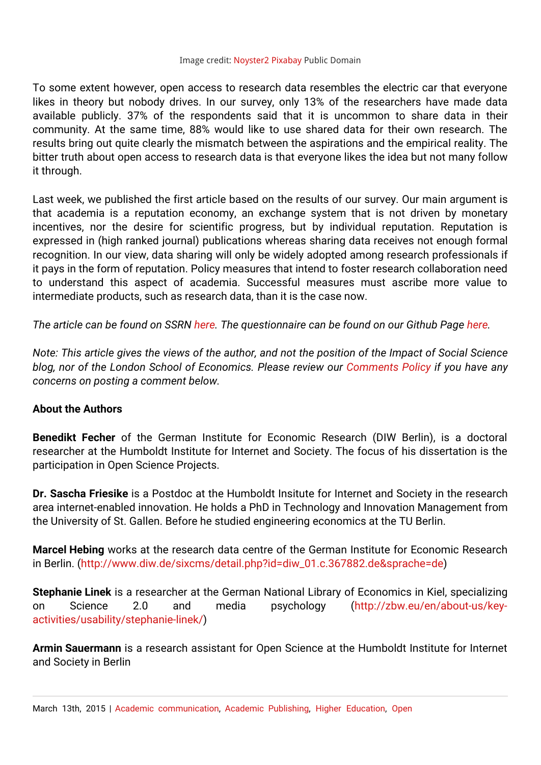## Image credit: [Noyster2](http://pixabay.com/en/graph-hand-chart-business-isolated-249937/) Pixabay Public Domain

To some extent however, open access to research data resembles the electric car that everyone likes in theory but nobody drives. In our survey, only 13% of the researchers have made data available publicly. 37% of the respondents said that it is uncommon to share data in their community. At the same time, 88% would like to use shared data for their own research. The results bring out quite clearly the mismatch between the aspirations and the empirical reality. The bitter truth about open access to research data is that everyone likes the idea but not many follow it through.

Last week, we published the first article based on the results of our survey. Our main argument is that academia is a reputation economy, an exchange system that is not driven by monetary incentives, nor the desire for scientific progress, but by individual reputation. Reputation is expressed in (high ranked journal) publications whereas sharing data receives not enough formal recognition. In our view, data sharing will only be widely adopted among research professionals if it pays in the form of reputation. Policy measures that intend to foster research collaboration need to understand this aspect of academia. Successful measures must ascribe more value to intermediate products, such as research data, than it is the case now.

*The article can be found on SSRN [here.](http://papers.ssrn.com/sol3/papers.cfm?abstract_id=2568693) The questionnaire can be found on our Github Page [here.](http://www.da-ra.de/dara/study/web_show?res_id=427364&lang=en&mdlang=en&detail=true)*

Note: This article gives the views of the author, and not the position of the Impact of Social Science *blog, nor of the London School of Economics. Please review our [Comments](http://blogs.lse.ac.uk/impactofsocialsciences/about-the-blog/comments-policy/) Policy if you have any concerns on posting a comment below.*

## **About the Authors**

**Benedikt Fecher** of the German Institute for Economic Research (DIW Berlin), is a doctoral researcher at the Humboldt Institute for Internet and Society. The focus of his dissertation is the participation in Open Science Projects.

**Dr. Sascha Friesike** is a Postdoc at the Humboldt Insitute for Internet and Society in the research area internet-enabled innovation. He holds a PhD in Technology and Innovation Management from the University of St. Gallen. Before he studied engineering economics at the TU Berlin.

**Marcel Hebing** works at the research data centre of the German Institute for Economic Research in Berlin. [\(http://www.diw.de/sixcms/detail.php?id=diw\\_01.c.367882.de&sprache=de](http://www.diw.de/sixcms/detail.php?id=diw_01.c.367882.de&sprache=de))

**Stephanie Linek** is a researcher at the German National Library of Economics in Kiel, specializing on Science 2.0 and media psychology (http://zbw.eu/en/about-us/key[activities/usability/stephanie-linek/\)](http://zbw.eu/en/about-us/key-activities/usability/stephanie-linek/)

**Armin Sauermann** is a research assistant for Open Science at the Humboldt Institute for Internet and Society in Berlin